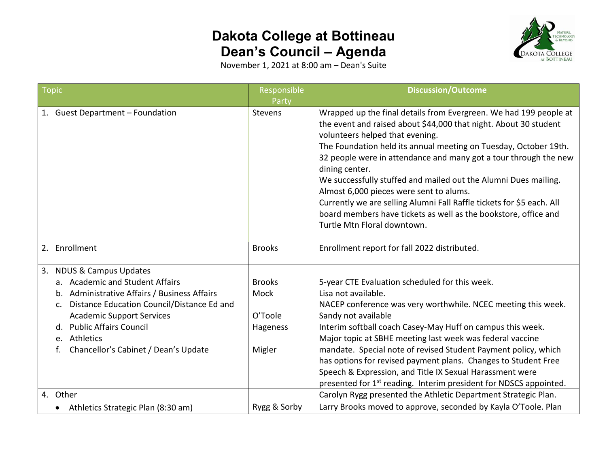## **Dakota College at Bottineau Dean's Council – Agenda**



November 1, 2021 at 8:00 am – Dean's Suite

| <b>Topic</b>                                                                                                                                                                                                                                                                                                      | Responsible                                            | <b>Discussion/Outcome</b>                                                                                                                                                                                                                                                                                                                                                                                                                                                                                                                                                                                                   |
|-------------------------------------------------------------------------------------------------------------------------------------------------------------------------------------------------------------------------------------------------------------------------------------------------------------------|--------------------------------------------------------|-----------------------------------------------------------------------------------------------------------------------------------------------------------------------------------------------------------------------------------------------------------------------------------------------------------------------------------------------------------------------------------------------------------------------------------------------------------------------------------------------------------------------------------------------------------------------------------------------------------------------------|
|                                                                                                                                                                                                                                                                                                                   | Party                                                  |                                                                                                                                                                                                                                                                                                                                                                                                                                                                                                                                                                                                                             |
| 1. Guest Department - Foundation                                                                                                                                                                                                                                                                                  | Stevens                                                | Wrapped up the final details from Evergreen. We had 199 people at<br>the event and raised about \$44,000 that night. About 30 student<br>volunteers helped that evening.<br>The Foundation held its annual meeting on Tuesday, October 19th.<br>32 people were in attendance and many got a tour through the new<br>dining center.<br>We successfully stuffed and mailed out the Alumni Dues mailing.<br>Almost 6,000 pieces were sent to alums.<br>Currently we are selling Alumni Fall Raffle tickets for \$5 each. All<br>board members have tickets as well as the bookstore, office and<br>Turtle Mtn Floral downtown. |
| Enrollment<br>2.                                                                                                                                                                                                                                                                                                  | <b>Brooks</b>                                          | Enrollment report for fall 2022 distributed.                                                                                                                                                                                                                                                                                                                                                                                                                                                                                                                                                                                |
| <b>NDUS &amp; Campus Updates</b><br>3.<br>a. Academic and Student Affairs<br>Administrative Affairs / Business Affairs<br>b.<br>Distance Education Council/Distance Ed and<br>C.<br><b>Academic Support Services</b><br>d. Public Affairs Council<br>Athletics<br>$e_{1}$<br>Chancellor's Cabinet / Dean's Update | <b>Brooks</b><br>Mock<br>O'Toole<br>Hageness<br>Migler | 5-year CTE Evaluation scheduled for this week.<br>Lisa not available.<br>NACEP conference was very worthwhile. NCEC meeting this week.<br>Sandy not available<br>Interim softball coach Casey-May Huff on campus this week.<br>Major topic at SBHE meeting last week was federal vaccine<br>mandate. Special note of revised Student Payment policy, which<br>has options for revised payment plans. Changes to Student Free                                                                                                                                                                                                |
| 4. Other                                                                                                                                                                                                                                                                                                          |                                                        | Speech & Expression, and Title IX Sexual Harassment were<br>presented for 1st reading. Interim president for NDSCS appointed.<br>Carolyn Rygg presented the Athletic Department Strategic Plan.                                                                                                                                                                                                                                                                                                                                                                                                                             |
| Athletics Strategic Plan (8:30 am)                                                                                                                                                                                                                                                                                | Rygg & Sorby                                           | Larry Brooks moved to approve, seconded by Kayla O'Toole. Plan                                                                                                                                                                                                                                                                                                                                                                                                                                                                                                                                                              |